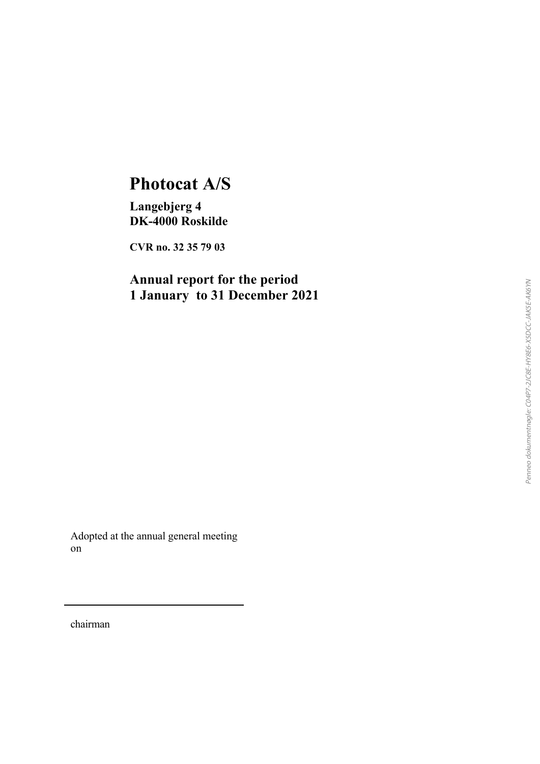## **Photocat A/S**

**Langebjerg 4 DK-4000 Roskilde**

**CVR no. 32 35 79 03**

**Annual report for the period 1 January to 31 December 2021**

Adopted at the annual general meeting on

chairman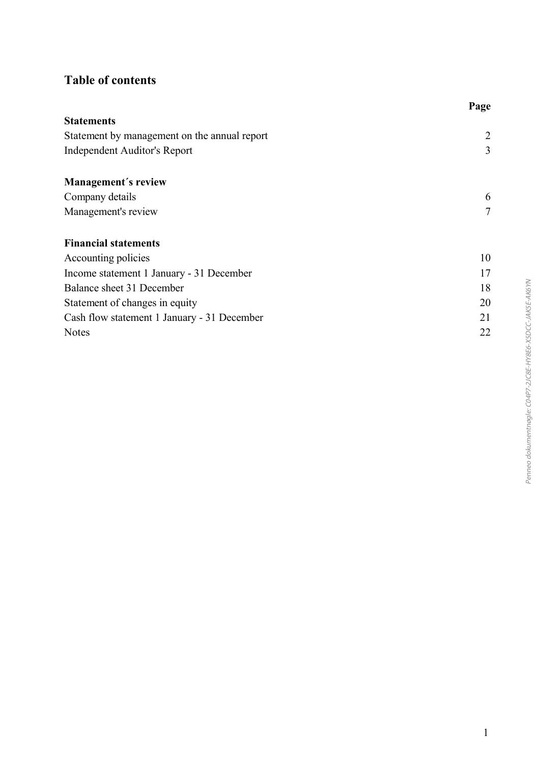## **Table of contents**

|                                              | Page           |
|----------------------------------------------|----------------|
| <b>Statements</b>                            |                |
| Statement by management on the annual report | $\overline{2}$ |
| <b>Independent Auditor's Report</b>          | 3              |
| <b>Management's review</b>                   |                |
| Company details                              | 6              |
| Management's review                          | 7              |
| <b>Financial statements</b>                  |                |
| Accounting policies                          | 10             |
| Income statement 1 January - 31 December     | 17             |
| Balance sheet 31 December                    | 18             |
| Statement of changes in equity               | 20             |
| Cash flow statement 1 January - 31 December  | 21             |
| Notes                                        | 22             |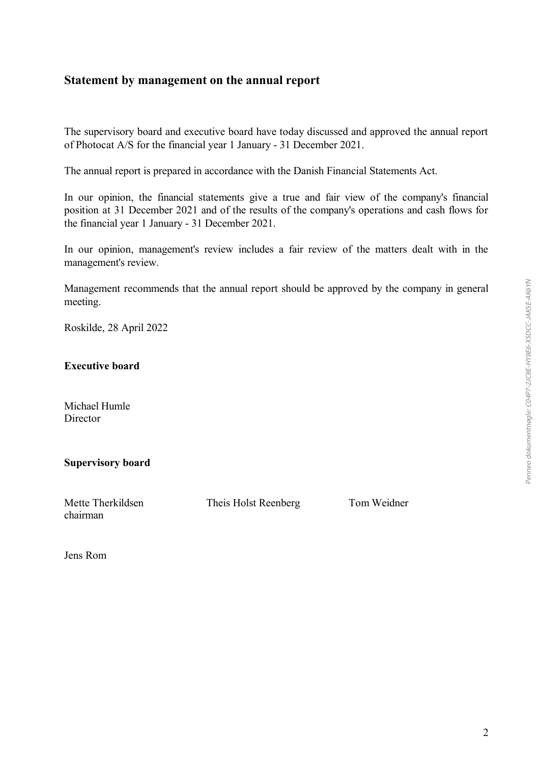### **Statement by management on the annual report**

The supervisory board and executive board have today discussed and approved the annual report of Photocat A/S for the financial year 1 January - 31 December 2021.

The annual report is prepared in accordance with the Danish Financial Statements Act.

In our opinion, the financial statements give a true and fair view of the company's financial position at 31 December 2021 and of the results of the company's operations and cash flows for the financial year 1 January - 31 December 2021.

In our opinion, management's review includes a fair review of the matters dealt with in the management's review.

Management recommends that the annual report should be approved by the company in general meeting.

Roskilde, 28 April 2022

#### **Executive board**

Michael Humle **Director** 

#### **Supervisory board**

Mette Therkildsen chairman

Theis Holst Reenberg Tom Weidner

Jens Rom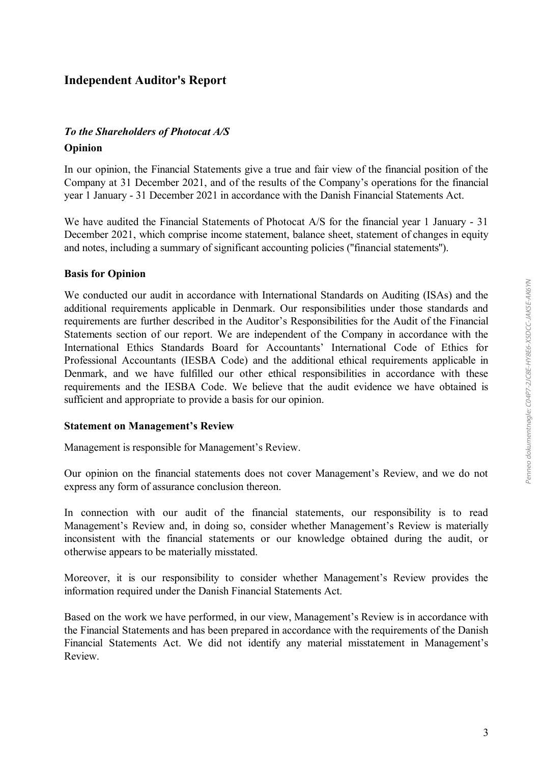## **Independent Auditor's Report**

## *To the Shareholders of Photocat A/S* **Opinion**

In our opinion, the Financial Statements give a true and fair view of the financial position of the Company at 31 December 2021, and of the results of the Company's operations for the financial year 1 January - 31 December 2021 in accordance with the Danish Financial Statements Act.

We have audited the Financial Statements of Photocat A/S for the financial year 1 January - 31 December 2021, which comprise income statement, balance sheet, statement of changes in equity and notes, including a summary of significant accounting policies (''financial statements'').

#### **Basis for Opinion**

We conducted our audit in accordance with International Standards on Auditing (ISAs) and the additional requirements applicable in Denmark. Our responsibilities under those standards and requirements are further described in the Auditor's Responsibilities for the Audit of the Financial Statements section of our report. We are independent of the Company in accordance with the International Ethics Standards Board for Accountants' International Code of Ethics for Professional Accountants (IESBA Code) and the additional ethical requirements applicable in Denmark, and we have fulfilled our other ethical responsibilities in accordance with these requirements and the IESBA Code. We believe that the audit evidence we have obtained is sufficient and appropriate to provide a basis for our opinion.

#### **Statement on Management's Review**

Management is responsible for Management's Review.

Our opinion on the financial statements does not cover Management's Review, and we do not express any form of assurance conclusion thereon.

In connection with our audit of the financial statements, our responsibility is to read Management's Review and, in doing so, consider whether Management's Review is materially inconsistent with the financial statements or our knowledge obtained during the audit, or otherwise appears to be materially misstated.

Moreover, it is our responsibility to consider whether Management's Review provides the information required under the Danish Financial Statements Act.

Based on the work we have performed, in our view, Management's Review is in accordance with the Financial Statements and has been prepared in accordance with the requirements of the Danish Financial Statements Act. We did not identify any material misstatement in Management's Review.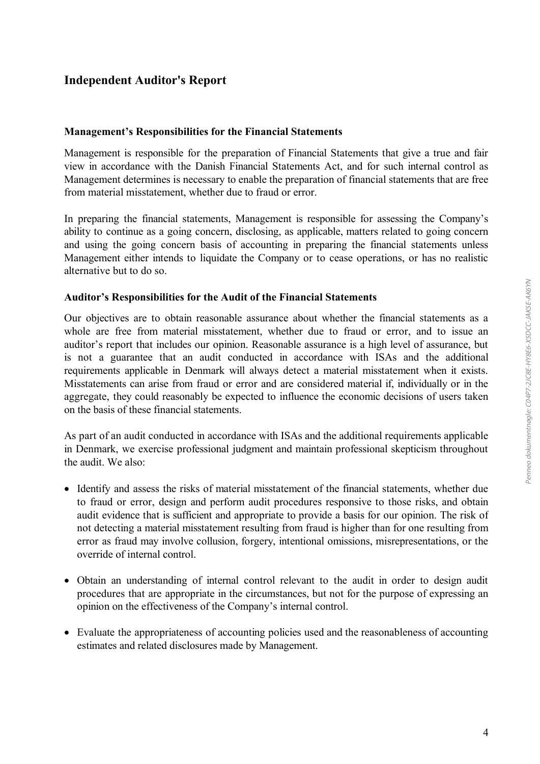## **Independent Auditor's Report**

#### **Management's Responsibilities for the Financial Statements**

Management is responsible for the preparation of Financial Statements that give a true and fair view in accordance with the Danish Financial Statements Act, and for such internal control as Management determines is necessary to enable the preparation of financial statements that are free from material misstatement, whether due to fraud or error.

In preparing the financial statements, Management is responsible for assessing the Company's ability to continue as a going concern, disclosing, as applicable, matters related to going concern and using the going concern basis of accounting in preparing the financial statements unless Management either intends to liquidate the Company or to cease operations, or has no realistic alternative but to do so.

#### **Auditor's Responsibilities for the Audit of the Financial Statements**

Our objectives are to obtain reasonable assurance about whether the financial statements as a whole are free from material misstatement, whether due to fraud or error, and to issue an auditor's report that includes our opinion. Reasonable assurance is a high level of assurance, but is not a guarantee that an audit conducted in accordance with ISAs and the additional requirements applicable in Denmark will always detect a material misstatement when it exists. Misstatements can arise from fraud or error and are considered material if, individually or in the aggregate, they could reasonably be expected to influence the economic decisions of users taken on the basis of these financial statements.

As part of an audit conducted in accordance with ISAs and the additional requirements applicable in Denmark, we exercise professional judgment and maintain professional skepticism throughout the audit. We also:

- Identify and assess the risks of material misstatement of the financial statements, whether due to fraud or error, design and perform audit procedures responsive to those risks, and obtain audit evidence that is sufficient and appropriate to provide a basis for our opinion. The risk of not detecting a material misstatement resulting from fraud is higher than for one resulting from error as fraud may involve collusion, forgery, intentional omissions, misrepresentations, or the override of internal control.
- Obtain an understanding of internal control relevant to the audit in order to design audit procedures that are appropriate in the circumstances, but not for the purpose of expressing an opinion on the effectiveness of the Company's internal control.
- Evaluate the appropriateness of accounting policies used and the reasonableness of accounting estimates and related disclosures made by Management.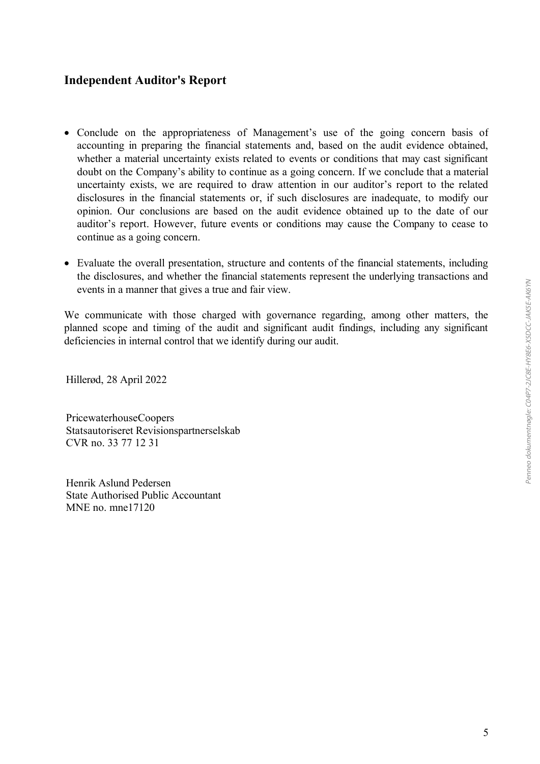## **Independent Auditor's Report**

- Conclude on the appropriateness of Management's use of the going concern basis of accounting in preparing the financial statements and, based on the audit evidence obtained, whether a material uncertainty exists related to events or conditions that may cast significant doubt on the Company's ability to continue as a going concern. If we conclude that a material uncertainty exists, we are required to draw attention in our auditor's report to the related disclosures in the financial statements or, if such disclosures are inadequate, to modify our opinion. Our conclusions are based on the audit evidence obtained up to the date of our auditor's report. However, future events or conditions may cause the Company to cease to continue as a going concern.
- Evaluate the overall presentation, structure and contents of the financial statements, including the disclosures, and whether the financial statements represent the underlying transactions and events in a manner that gives a true and fair view.

We communicate with those charged with governance regarding, among other matters, the planned scope and timing of the audit and significant audit findings, including any significant deficiencies in internal control that we identify during our audit.

Hillerød, 28 April 2022

PricewaterhouseCoopers Statsautoriseret Revisionspartnerselskab CVR no. 33 77 12 31

Henrik Aslund Pedersen State Authorised Public Accountant MNE no. mne17120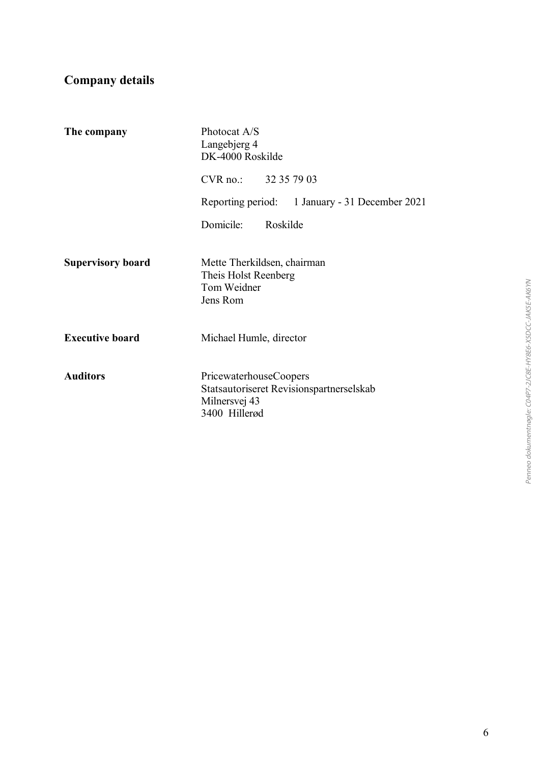## **Company details**

| The company              | Photocat A/S<br>Langebjerg 4<br>DK-4000 Roskilde                               |          |                                                |
|--------------------------|--------------------------------------------------------------------------------|----------|------------------------------------------------|
|                          | CVR no.: 32 35 79 03                                                           |          |                                                |
|                          |                                                                                |          | Reporting period: 1 January - 31 December 2021 |
|                          | Domicile:                                                                      | Roskilde |                                                |
| <b>Supervisory board</b> | Mette Therkildsen, chairman<br>Theis Holst Reenberg<br>Tom Weidner<br>Jens Rom |          |                                                |
| <b>Executive board</b>   | Michael Humle, director                                                        |          |                                                |
| <b>Auditors</b>          | PricewaterhouseCoopers<br>Milnersvej 43<br>3400 Hillerød                       |          | Statsautoriseret Revisionspartnerselskab       |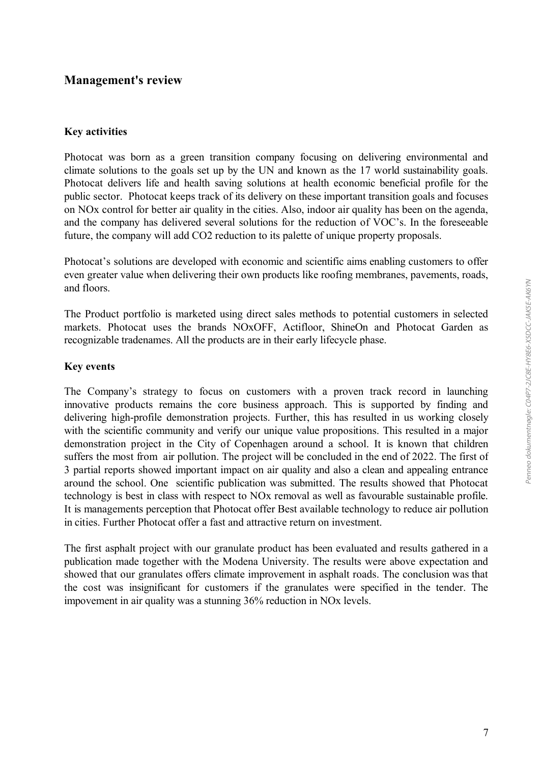## **Management's review**

#### **Key activities**

Photocat was born as a green transition company focusing on delivering environmental and climate solutions to the goals set up by the UN and known as the 17 world sustainability goals. Photocat delivers life and health saving solutions at health economic beneficial profile for the public sector. Photocat keeps track of its delivery on these important transition goals and focuses on NOx control for better air quality in the cities. Also, indoor air quality has been on the agenda, and the company has delivered several solutions for the reduction of VOC's. In the foreseeable future, the company will add CO2 reduction to its palette of unique property proposals.

Photocat's solutions are developed with economic and scientific aims enabling customers to offer even greater value when delivering their own products like roofing membranes, pavements, roads, and floors.

The Product portfolio is marketed using direct sales methods to potential customers in selected markets. Photocat uses the brands NOxOFF, Actifloor, ShineOn and Photocat Garden as recognizable tradenames. All the products are in their early lifecycle phase.

#### **Key events**

The Company's strategy to focus on customers with a proven track record in launching innovative products remains the core business approach. This is supported by finding and delivering high-profile demonstration projects. Further, this has resulted in us working closely with the scientific community and verify our unique value propositions. This resulted in a major demonstration project in the City of Copenhagen around a school. It is known that children suffers the most from air pollution. The project will be concluded in the end of 2022. The first of 3 partial reports showed important impact on air quality and also a clean and appealing entrance around the school. One scientific publication was submitted. The results showed that Photocat technology is best in class with respect to NOx removal as well as favourable sustainable profile. It is managements perception that Photocat offer Best available technology to reduce air pollution in cities. Further Photocat offer a fast and attractive return on investment.

The first asphalt project with our granulate product has been evaluated and results gathered in a publication made together with the Modena University. The results were above expectation and showed that our granulates offers climate improvement in asphalt roads. The conclusion was that the cost was insignificant for customers if the granulates were specified in the tender. The impovement in air quality was a stunning 36% reduction in NOx levels.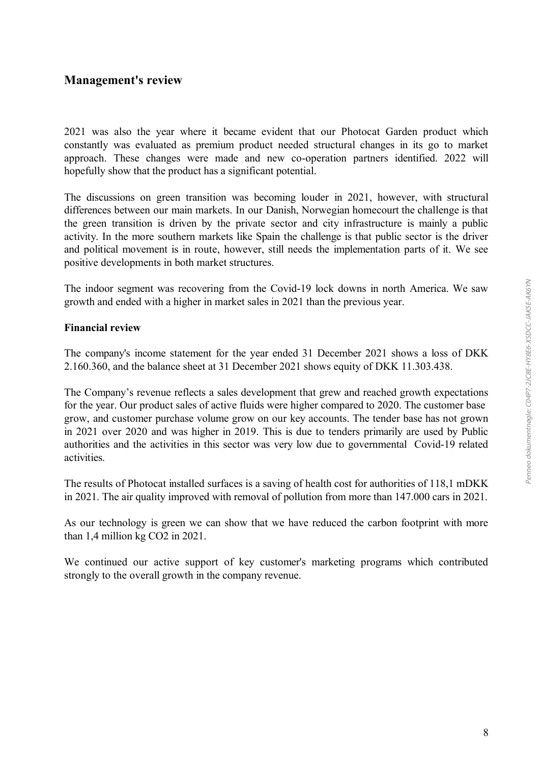## **Management's review**

2021 was also the year where it became evident that our Photocat Garden product which constantly was evaluated as premium product needed structural changes in its go to market approach. These changes were made and new co-operation partners identified. 2022 will hopefully show that the product has a significant potential.

The discussions on green transition was becoming louder in 2021, however, with structural differences between our main markets. In our Danish, Norwegian homecourt the challenge is that the green transition is driven by the private sector and city infrastructure is mainly a public activity. In the more southern markets like Spain the challenge is that public sector is the driver and political movement is in route, however, still needs the implementation parts of it. We see positive developments in both market structures.

The indoor segment was recovering from the Covid-19 lock downs in north America. We saw growth and ended with a higher in market sales in 2021 than the previous year.

#### **Financial review**

The company's income statement for the year ended 31 December 2021 shows a loss of DKK 2.160.360, and the balance sheet at 31 December 2021 shows equity of DKK 11.303.438.

The Company's revenue reflects a sales development that grew and reached growth expectations for the year. Our product sales of active fluids were higher compared to 2020. The customer base grow, and customer purchase volume grow on our key accounts. The tender base has not grown in 2021 over 2020 and was higher in 2019. This is due to tenders primarily are used by Public authorities and the activities in this sector was very low due to governmental Covid-19 related activities.

The results of Photocat installed surfaces is a saving of health cost for authorities of 118,1 mDKK in 2021. The air quality improved with removal of pollution from more than 147.000 cars in 2021.

As our technology is green we can show that we have reduced the carbon footprint with more than 1,4 million kg CO2 in 2021.

We continued our active support of key customer's marketing programs which contributed strongly to the overall growth in the company revenue.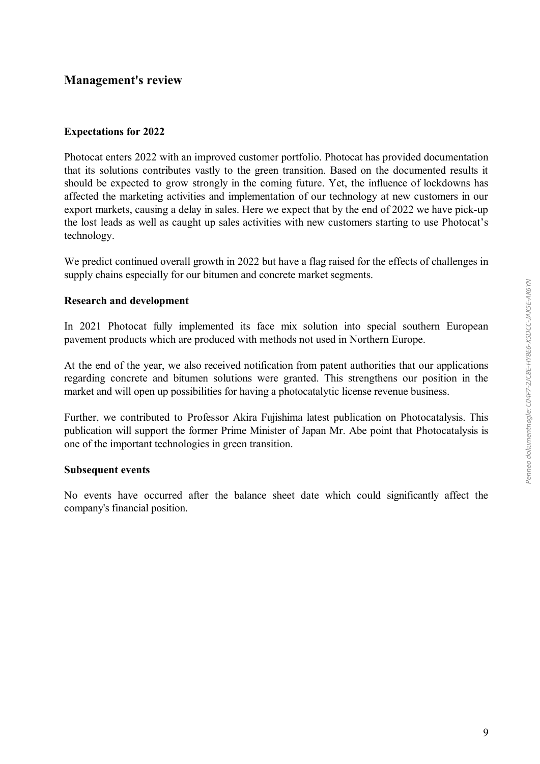## **Management's review**

### **Expectations for 2022**

Photocat enters 2022 with an improved customer portfolio. Photocat has provided documentation that its solutions contributes vastly to the green transition. Based on the documented results it should be expected to grow strongly in the coming future. Yet, the influence of lockdowns has affected the marketing activities and implementation of our technology at new customers in our export markets, causing a delay in sales. Here we expect that by the end of 2022 we have pick-up the lost leads as well as caught up sales activities with new customers starting to use Photocat's technology.

We predict continued overall growth in 2022 but have a flag raised for the effects of challenges in supply chains especially for our bitumen and concrete market segments.

## **Research and development**

In 2021 Photocat fully implemented its face mix solution into special southern European pavement products which are produced with methods not used in Northern Europe.

At the end of the year, we also received notification from patent authorities that our applications regarding concrete and bitumen solutions were granted. This strengthens our position in the market and will open up possibilities for having a photocatalytic license revenue business.

Further, we contributed to Professor Akira Fujishima latest publication on Photocatalysis. This publication will support the former Prime Minister of Japan Mr. Abe point that Photocatalysis is one of the important technologies in green transition.

### **Subsequent events**

No events have occurred after the balance sheet date which could significantly affect the company's financial position.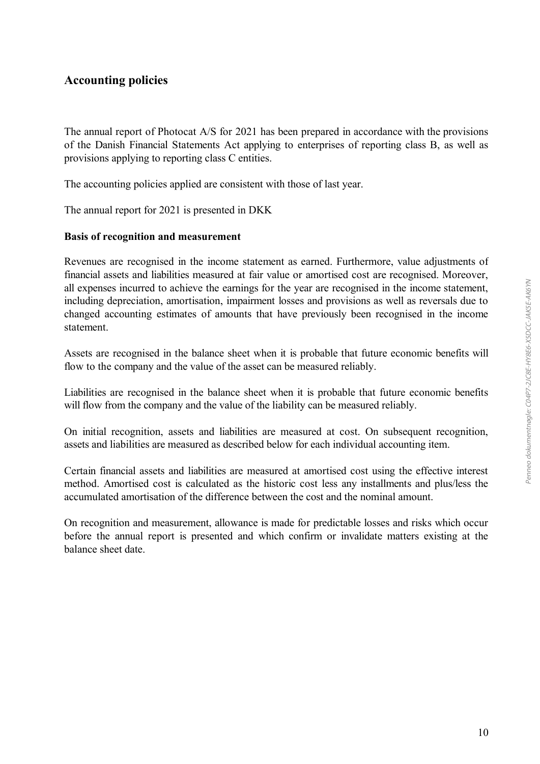The annual report of Photocat A/S for 2021 has been prepared in accordance with the provisions of the Danish Financial Statements Act applying to enterprises of reporting class B, as well as provisions applying to reporting class C entities.

The accounting policies applied are consistent with those of last year.

The annual report for 2021 is presented in DKK

#### **Basis of recognition and measurement**

Revenues are recognised in the income statement as earned. Furthermore, value adjustments of financial assets and liabilities measured at fair value or amortised cost are recognised. Moreover, all expenses incurred to achieve the earnings for the year are recognised in the income statement, including depreciation, amortisation, impairment losses and provisions as well as reversals due to changed accounting estimates of amounts that have previously been recognised in the income statement.

Assets are recognised in the balance sheet when it is probable that future economic benefits will flow to the company and the value of the asset can be measured reliably.

Liabilities are recognised in the balance sheet when it is probable that future economic benefits will flow from the company and the value of the liability can be measured reliably.

On initial recognition, assets and liabilities are measured at cost. On subsequent recognition, assets and liabilities are measured as described below for each individual accounting item.

Certain financial assets and liabilities are measured at amortised cost using the effective interest method. Amortised cost is calculated as the historic cost less any installments and plus/less the accumulated amortisation of the difference between the cost and the nominal amount.

On recognition and measurement, allowance is made for predictable losses and risks which occur before the annual report is presented and which confirm or invalidate matters existing at the balance sheet date.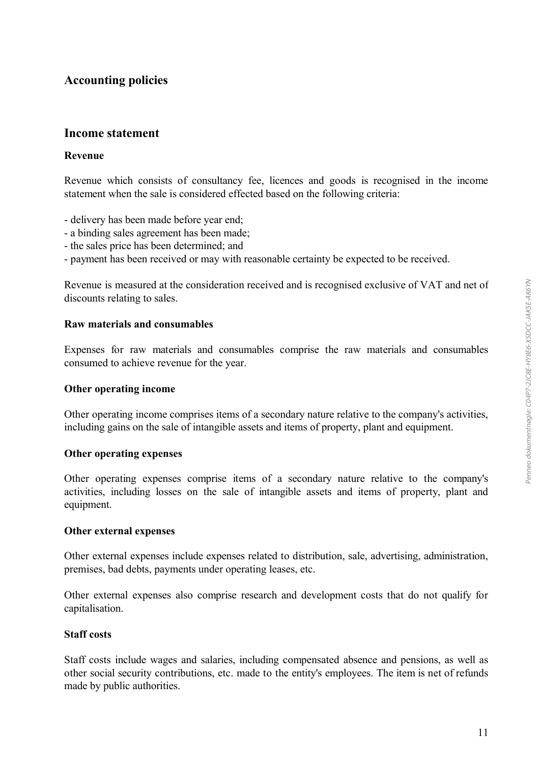#### **Income statement**

#### **Revenue**

Revenue which consists of consultancy fee, licences and goods is recognised in the income statement when the sale is considered effected based on the following criteria:

- delivery has been made before year end;
- a binding sales agreement has been made;
- the sales price has been determined; and
- payment has been received or may with reasonable certainty be expected to be received.

Revenue is measured at the consideration received and is recognised exclusive of VAT and net of discounts relating to sales.

#### **Raw materials and consumables**

Expenses for raw materials and consumables comprise the raw materials and consumables consumed to achieve revenue for the year.

#### **Other operating income**

Other operating income comprises items of a secondary nature relative to the company's activities, including gains on the sale of intangible assets and items of property, plant and equipment.

#### **Other operating expenses**

Other operating expenses comprise items of a secondary nature relative to the company's activities, including losses on the sale of intangible assets and items of property, plant and equipment.

#### **Other external expenses**

Other external expenses include expenses related to distribution, sale, advertising, administration, premises, bad debts, payments under operating leases, etc.

Other external expenses also comprise research and development costs that do not qualify for capitalisation.

#### **Staff costs**

Staff costs include wages and salaries, including compensated absence and pensions, as well as other social security contributions, etc. made to the entity's employees. The item is net of refunds made by public authorities.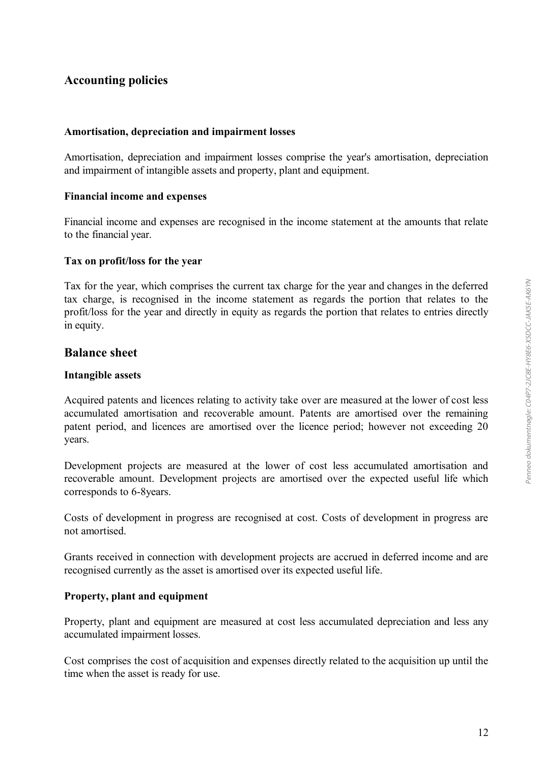### **Amortisation, depreciation and impairment losses**

Amortisation, depreciation and impairment losses comprise the year's amortisation, depreciation and impairment of intangible assets and property, plant and equipment.

### **Financial income and expenses**

Financial income and expenses are recognised in the income statement at the amounts that relate to the financial year.

## **Tax on profit/loss for the year**

Tax for the year, which comprises the current tax charge for the year and changes in the deferred tax charge, is recognised in the income statement as regards the portion that relates to the profit/loss for the year and directly in equity as regards the portion that relates to entries directly in equity.

#### **Balance sheet**

#### **Intangible assets**

Acquired patents and licences relating to activity take over are measured at the lower of cost less accumulated amortisation and recoverable amount. Patents are amortised over the remaining patent period, and licences are amortised over the licence period; however not exceeding 20 years.

Development projects are measured at the lower of cost less accumulated amortisation and recoverable amount. Development projects are amortised over the expected useful life which corresponds to 6-8years.

Costs of development in progress are recognised at cost. Costs of development in progress are not amortised.

Grants received in connection with development projects are accrued in deferred income and are recognised currently as the asset is amortised over its expected useful life.

#### **Property, plant and equipment**

Property, plant and equipment are measured at cost less accumulated depreciation and less any accumulated impairment losses.

Cost comprises the cost of acquisition and expenses directly related to the acquisition up until the time when the asset is ready for use.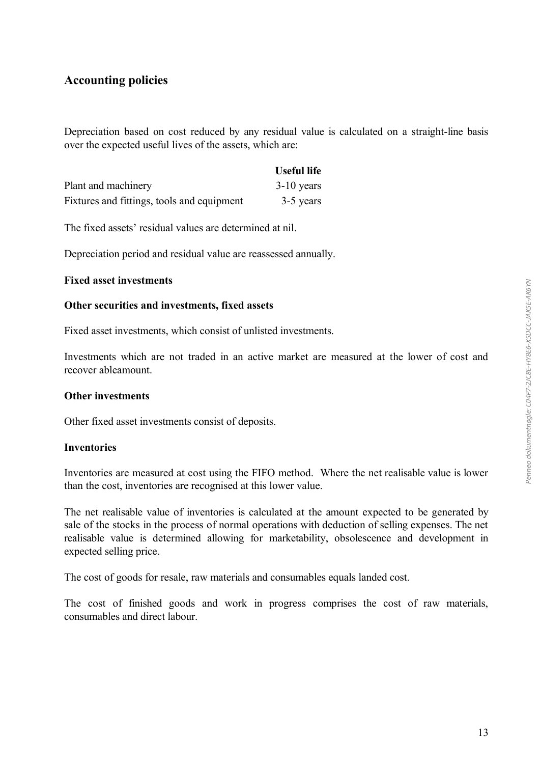Depreciation based on cost reduced by any residual value is calculated on a straight-line basis over the expected useful lives of the assets, which are:

|                                            | <b>Useful life</b> |
|--------------------------------------------|--------------------|
| Plant and machinery                        | $3-10$ years       |
| Fixtures and fittings, tools and equipment | $3-5$ years        |

The fixed assets' residual values are determined at nil.

Depreciation period and residual value are reassessed annually.

#### **Fixed asset investments**

#### **Other securities and investments, fixed assets**

Fixed asset investments, which consist of unlisted investments.

Investments which are not traded in an active market are measured at the lower of cost and recover ableamount.

#### **Other investments**

Other fixed asset investments consist of deposits.

#### **Inventories**

Inventories are measured at cost using the FIFO method. Where the net realisable value is lower than the cost, inventories are recognised at this lower value.

The net realisable value of inventories is calculated at the amount expected to be generated by sale of the stocks in the process of normal operations with deduction of selling expenses. The net realisable value is determined allowing for marketability, obsolescence and development in expected selling price.

The cost of goods for resale, raw materials and consumables equals landed cost.

The cost of finished goods and work in progress comprises the cost of raw materials, consumables and direct labour.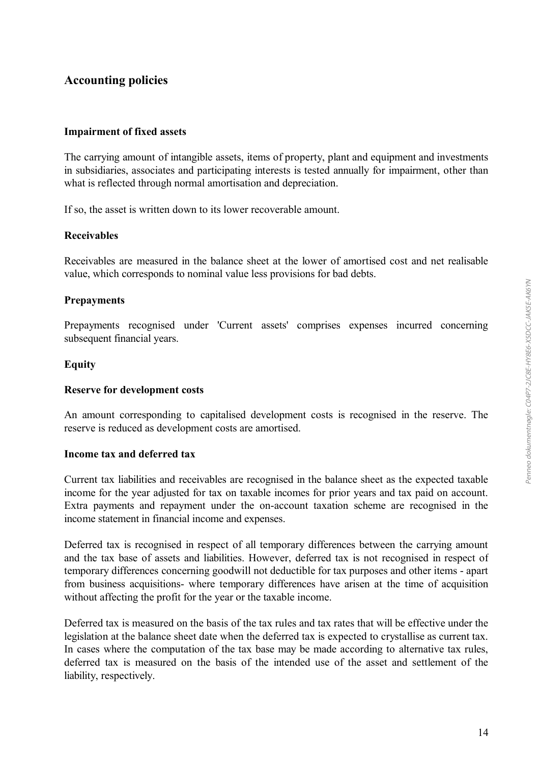#### **Impairment of fixed assets**

The carrying amount of intangible assets, items of property, plant and equipment and investments in subsidiaries, associates and participating interests is tested annually for impairment, other than what is reflected through normal amortisation and depreciation.

If so, the asset is written down to its lower recoverable amount.

#### **Receivables**

Receivables are measured in the balance sheet at the lower of amortised cost and net realisable value, which corresponds to nominal value less provisions for bad debts.

#### **Prepayments**

Prepayments recognised under 'Current assets' comprises expenses incurred concerning subsequent financial years.

#### **Equity**

#### **Reserve for development costs**

An amount corresponding to capitalised development costs is recognised in the reserve. The reserve is reduced as development costs are amortised.

#### **Income tax and deferred tax**

Current tax liabilities and receivables are recognised in the balance sheet as the expected taxable income for the year adjusted for tax on taxable incomes for prior years and tax paid on account. Extra payments and repayment under the on-account taxation scheme are recognised in the income statement in financial income and expenses.

Deferred tax is recognised in respect of all temporary differences between the carrying amount and the tax base of assets and liabilities. However, deferred tax is not recognised in respect of temporary differences concerning goodwill not deductible for tax purposes and other items - apart from business acquisitions- where temporary differences have arisen at the time of acquisition without affecting the profit for the year or the taxable income.

Deferred tax is measured on the basis of the tax rules and tax rates that will be effective under the legislation at the balance sheet date when the deferred tax is expected to crystallise as current tax. In cases where the computation of the tax base may be made according to alternative tax rules, deferred tax is measured on the basis of the intended use of the asset and settlement of the liability, respectively.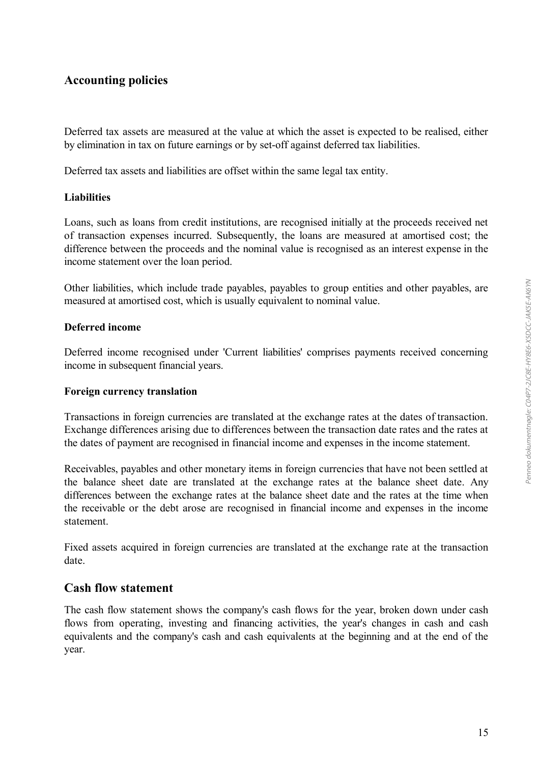Deferred tax assets are measured at the value at which the asset is expected to be realised, either by elimination in tax on future earnings or by set-off against deferred tax liabilities.

Deferred tax assets and liabilities are offset within the same legal tax entity.

#### **Liabilities**

Loans, such as loans from credit institutions, are recognised initially at the proceeds received net of transaction expenses incurred. Subsequently, the loans are measured at amortised cost; the difference between the proceeds and the nominal value is recognised as an interest expense in the income statement over the loan period.

Other liabilities, which include trade payables, payables to group entities and other payables, are measured at amortised cost, which is usually equivalent to nominal value.

#### **Deferred income**

Deferred income recognised under 'Current liabilities' comprises payments received concerning income in subsequent financial years.

#### **Foreign currency translation**

Transactions in foreign currencies are translated at the exchange rates at the dates of transaction. Exchange differences arising due to differences between the transaction date rates and the rates at the dates of payment are recognised in financial income and expenses in the income statement.

Receivables, payables and other monetary items in foreign currencies that have not been settled at the balance sheet date are translated at the exchange rates at the balance sheet date. Any differences between the exchange rates at the balance sheet date and the rates at the time when the receivable or the debt arose are recognised in financial income and expenses in the income statement.

Fixed assets acquired in foreign currencies are translated at the exchange rate at the transaction date.

### **Cash flow statement**

The cash flow statement shows the company's cash flows for the year, broken down under cash flows from operating, investing and financing activities, the year's changes in cash and cash equivalents and the company's cash and cash equivalents at the beginning and at the end of the year.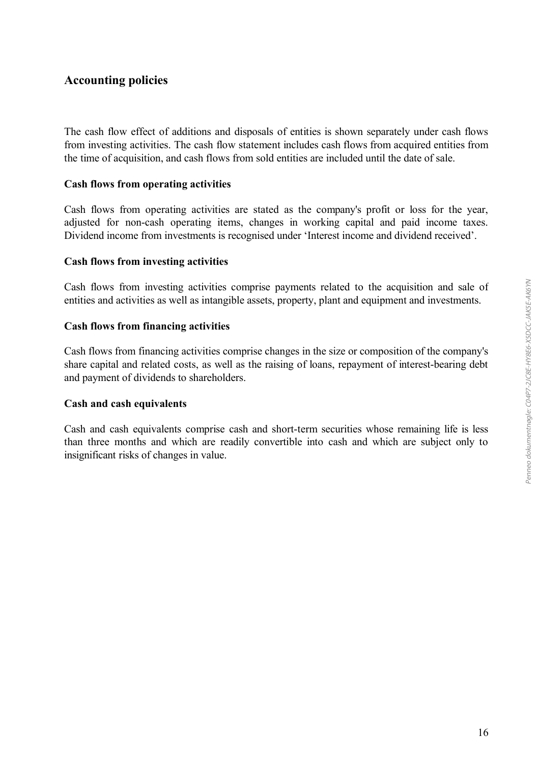The cash flow effect of additions and disposals of entities is shown separately under cash flows from investing activities. The cash flow statement includes cash flows from acquired entities from the time of acquisition, and cash flows from sold entities are included until the date of sale.

#### **Cash flows from operating activities**

Cash flows from operating activities are stated as the company's profit or loss for the year, adjusted for non-cash operating items, changes in working capital and paid income taxes. Dividend income from investments is recognised under 'Interest income and dividend received'.

#### **Cash flows from investing activities**

Cash flows from investing activities comprise payments related to the acquisition and sale of entities and activities as well as intangible assets, property, plant and equipment and investments.

#### **Cash flows from financing activities**

Cash flows from financing activities comprise changes in the size or composition of the company's share capital and related costs, as well as the raising of loans, repayment of interest-bearing debt and payment of dividends to shareholders.

#### **Cash and cash equivalents**

Cash and cash equivalents comprise cash and short-term securities whose remaining life is less than three months and which are readily convertible into cash and which are subject only to insignificant risks of changes in value.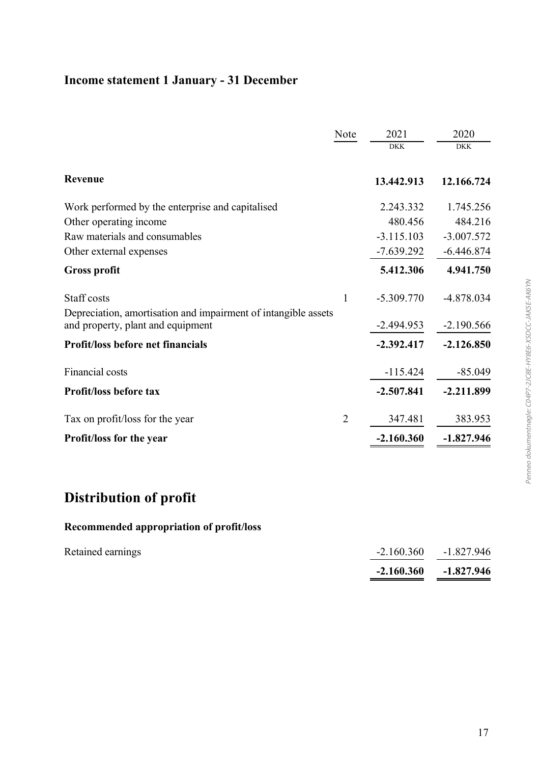## **Income statement 1 January - 31 December**

|                                                                                                     | Note           | 2021         | 2020         |
|-----------------------------------------------------------------------------------------------------|----------------|--------------|--------------|
|                                                                                                     |                | <b>DKK</b>   | <b>DKK</b>   |
| <b>Revenue</b>                                                                                      |                | 13.442.913   | 12.166.724   |
| Work performed by the enterprise and capitalised                                                    |                | 2.243.332    | 1.745.256    |
| Other operating income                                                                              |                | 480.456      | 484.216      |
| Raw materials and consumables                                                                       |                | $-3.115.103$ | $-3.007.572$ |
| Other external expenses                                                                             |                | $-7.639.292$ | $-6.446.874$ |
| <b>Gross profit</b>                                                                                 |                | 5.412.306    | 4.941.750    |
| Staff costs                                                                                         | 1              | $-5.309.770$ | $-4.878.034$ |
| Depreciation, amortisation and impairment of intangible assets<br>and property, plant and equipment |                | $-2.494.953$ | $-2.190.566$ |
| <b>Profit/loss before net financials</b>                                                            |                | $-2.392.417$ | $-2.126.850$ |
| Financial costs                                                                                     |                | $-115.424$   | $-85.049$    |
| Profit/loss before tax                                                                              |                | $-2.507.841$ | $-2.211.899$ |
| Tax on profit/loss for the year                                                                     | $\overline{2}$ | 347.481      | 383.953      |
| <b>Profit/loss for the year</b>                                                                     |                | $-2.160.360$ | -1.827.946   |
|                                                                                                     |                |              |              |

## **Distribution of profit**

## **Recommended appropriation of profit/loss**

| Retained earnings | $-2.160.360 -1.827.946$ |
|-------------------|-------------------------|
|                   | $-2.160.360 -1.827.946$ |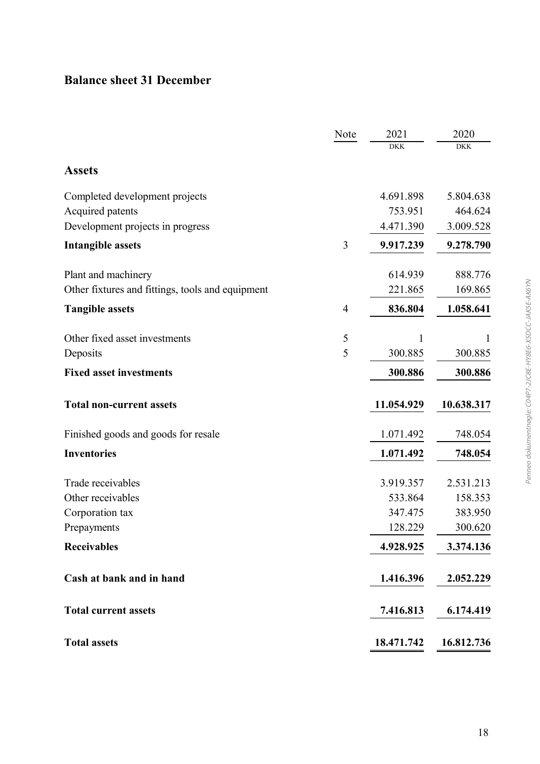## **Balance sheet 31 December**

|                                                  | Note | 2021       | 2020         |
|--------------------------------------------------|------|------------|--------------|
|                                                  |      | <b>DKK</b> | <b>DKK</b>   |
| <b>Assets</b>                                    |      |            |              |
| Completed development projects                   |      | 4.691.898  | 5.804.638    |
| Acquired patents                                 |      | 753.951    | 464.624      |
| Development projects in progress                 |      | 4.471.390  | 3.009.528    |
| <b>Intangible assets</b>                         | 3    | 9.917.239  | 9.278.790    |
| Plant and machinery                              |      | 614.939    | 888.776      |
| Other fixtures and fittings, tools and equipment |      | 221.865    | 169.865      |
| <b>Tangible assets</b>                           | 4    | 836.804    | 1.058.641    |
| Other fixed asset investments                    | 5    | 1          | $\mathbf{I}$ |
| Deposits                                         | 5    | 300.885    | 300.885      |
| <b>Fixed asset investments</b>                   |      | 300.886    | 300.886      |
| <b>Total non-current assets</b>                  |      | 11.054.929 | 10.638.317   |
| Finished goods and goods for resale              |      | 1.071.492  | 748.054      |
| <b>Inventories</b>                               |      | 1.071.492  | 748.054      |
| Trade receivables                                |      | 3.919.357  | 2.531.213    |
| Other receivables                                |      | 533.864    | 158.353      |
| Corporation tax                                  |      | 347.475    | 383.950      |
| Prepayments                                      |      | 128.229    | 300.620      |
| <b>Receivables</b>                               |      | 4.928.925  | 3.374.136    |
| Cash at bank and in hand                         |      | 1.416.396  | 2.052.229    |
| <b>Total current assets</b>                      |      | 7.416.813  | 6.174.419    |
| <b>Total assets</b>                              |      | 18.471.742 | 16.812.736   |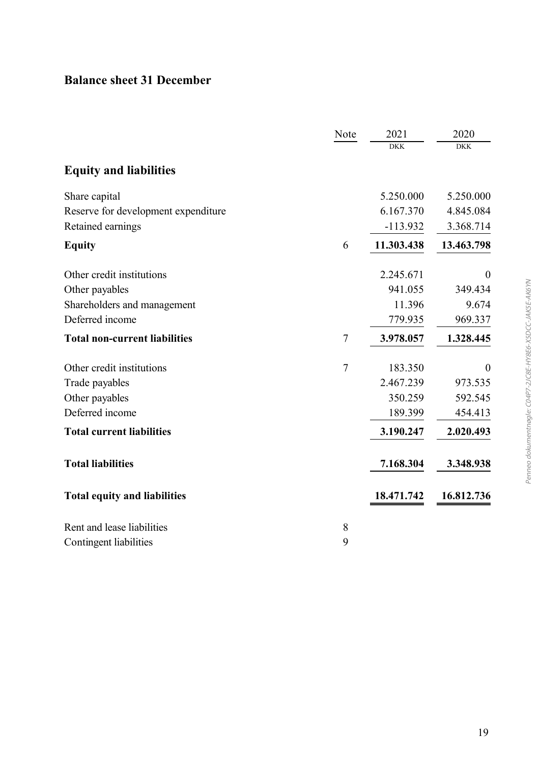## **Balance sheet 31 December**

|                                      | Note           | 2021       | 2020           |
|--------------------------------------|----------------|------------|----------------|
|                                      |                | <b>DKK</b> | <b>DKK</b>     |
| <b>Equity and liabilities</b>        |                |            |                |
| Share capital                        |                | 5.250.000  | 5.250.000      |
| Reserve for development expenditure  |                | 6.167.370  | 4.845.084      |
| Retained earnings                    |                | $-113.932$ | 3.368.714      |
| <b>Equity</b>                        | 6              | 11.303.438 | 13.463.798     |
| Other credit institutions            |                | 2.245.671  | $\theta$       |
| Other payables                       |                | 941.055    | 349.434        |
| Shareholders and management          |                | 11.396     | 9.674          |
| Deferred income                      |                | 779.935    | 969.337        |
| <b>Total non-current liabilities</b> | $\overline{7}$ | 3.978.057  | 1.328.445      |
| Other credit institutions            | $\overline{7}$ | 183.350    | $\overline{0}$ |
| Trade payables                       |                | 2.467.239  | 973.535        |
| Other payables                       |                | 350.259    | 592.545        |
| Deferred income                      |                | 189.399    | 454.413        |
| <b>Total current liabilities</b>     |                | 3.190.247  | 2.020.493      |
| <b>Total liabilities</b>             |                | 7.168.304  | 3.348.938      |
| <b>Total equity and liabilities</b>  |                | 18.471.742 | 16.812.736     |
| Rent and lease liabilities           | 8              |            |                |
| Contingent liabilities               | 9              |            |                |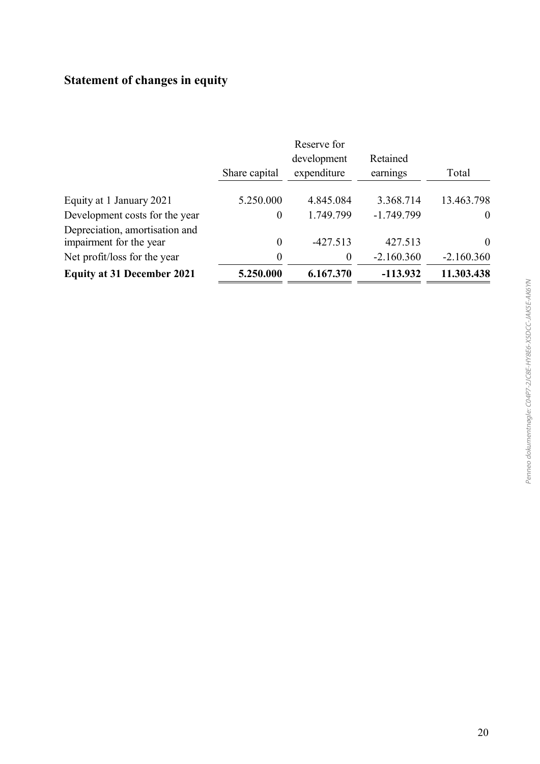## **Statement of changes in equity**

|                                                           |                | Reserve for                |                      |              |
|-----------------------------------------------------------|----------------|----------------------------|----------------------|--------------|
|                                                           | Share capital  | development<br>expenditure | Retained<br>earnings | Total        |
| Equity at 1 January 2021                                  | 5.250.000      | 4.845.084                  | 3.368.714            | 13.463.798   |
| Development costs for the year                            | $\overline{0}$ | 1.749.799                  | $-1.749.799$         | $\theta$     |
| Depreciation, amortisation and<br>impairment for the year | $\theta$       | $-427.513$                 | 427.513              | $\theta$     |
| Net profit/loss for the year                              | $\theta$       | $\theta$                   | $-2.160.360$         | $-2.160.360$ |
| <b>Equity at 31 December 2021</b>                         | 5.250.000      | 6.167.370                  | $-113.932$           | 11.303.438   |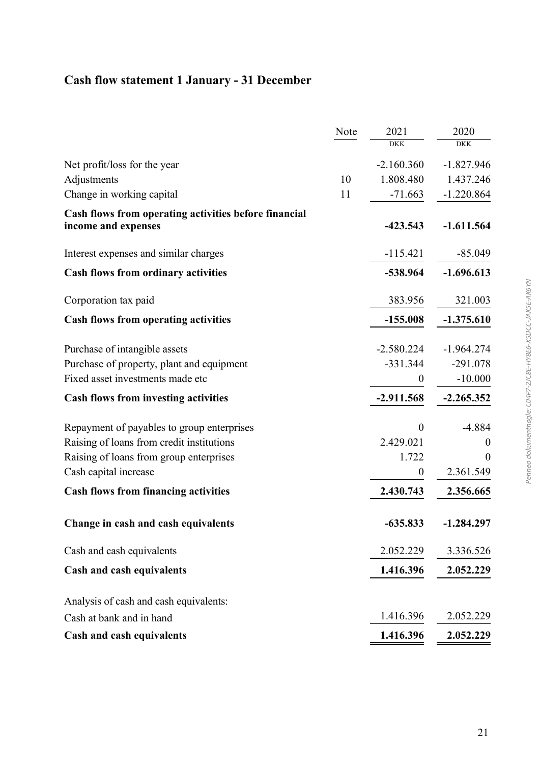## **Cash flow statement 1 January - 31 December**

|                                                                              | Note | 2021             | 2020             |
|------------------------------------------------------------------------------|------|------------------|------------------|
|                                                                              |      | <b>DKK</b>       | <b>DKK</b>       |
| Net profit/loss for the year                                                 |      | $-2.160.360$     | $-1.827.946$     |
| Adjustments                                                                  | 10   | 1.808.480        | 1.437.246        |
| Change in working capital                                                    | 11   | $-71.663$        | $-1.220.864$     |
| Cash flows from operating activities before financial<br>income and expenses |      | $-423.543$       | $-1.611.564$     |
| Interest expenses and similar charges                                        |      | $-115.421$       | $-85.049$        |
| <b>Cash flows from ordinary activities</b>                                   |      | $-538.964$       | $-1.696.613$     |
| Corporation tax paid                                                         |      | 383.956          | 321.003          |
| <b>Cash flows from operating activities</b>                                  |      | $-155.008$       | $-1.375.610$     |
| Purchase of intangible assets                                                |      | $-2.580.224$     | $-1.964.274$     |
| Purchase of property, plant and equipment                                    |      | $-331.344$       | $-291.078$       |
| Fixed asset investments made etc                                             |      | $\boldsymbol{0}$ | $-10.000$        |
| <b>Cash flows from investing activities</b>                                  |      | $-2.911.568$     | $-2.265.352$     |
| Repayment of payables to group enterprises                                   |      | $\boldsymbol{0}$ | $-4.884$         |
| Raising of loans from credit institutions                                    |      | 2.429.021        | $\theta$         |
| Raising of loans from group enterprises                                      |      | 1.722            | $\boldsymbol{0}$ |
| Cash capital increase                                                        |      | $\boldsymbol{0}$ | 2.361.549        |
| <b>Cash flows from financing activities</b>                                  |      | 2.430.743        | 2.356.665        |
| Change in cash and cash equivalents                                          |      | $-635.833$       | $-1.284.297$     |
| Cash and cash equivalents                                                    |      | 2.052.229        | 3.336.526        |
| <b>Cash and cash equivalents</b>                                             |      | 1.416.396        | 2.052.229        |
| Analysis of cash and cash equivalents:                                       |      |                  |                  |
| Cash at bank and in hand                                                     |      | 1.416.396        | 2.052.229        |
| Cash and cash equivalents                                                    |      | 1.416.396        | 2.052.229        |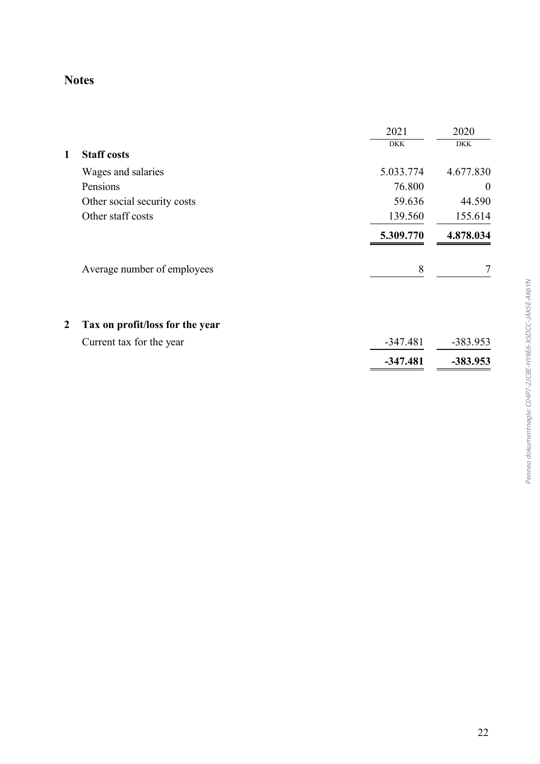|                  |                                 | 2021       | 2020       |
|------------------|---------------------------------|------------|------------|
|                  |                                 | <b>DKK</b> | <b>DKK</b> |
| $\mathbf{1}$     | <b>Staff costs</b>              |            |            |
|                  | Wages and salaries              | 5.033.774  | 4.677.830  |
|                  | Pensions                        | 76.800     | $\theta$   |
|                  | Other social security costs     | 59.636     | 44.590     |
|                  | Other staff costs               | 139.560    | 155.614    |
|                  |                                 | 5.309.770  | 4.878.034  |
|                  | Average number of employees     | 8          |            |
| $\boldsymbol{2}$ | Tax on profit/loss for the year |            |            |
|                  | Current tax for the year        | $-347.481$ | $-383.953$ |
|                  |                                 | $-347.481$ | $-383.953$ |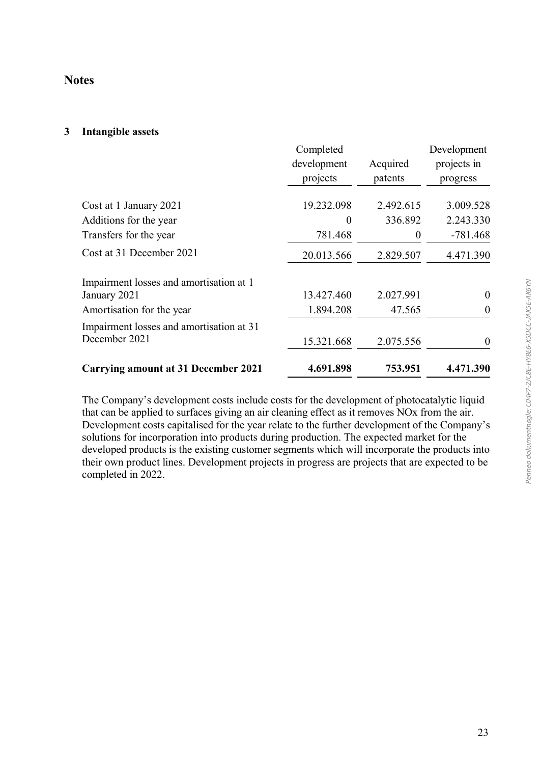#### **3 Intangible assets**

|                                            | Completed      |           | Development      |
|--------------------------------------------|----------------|-----------|------------------|
|                                            | development    | Acquired  | projects in      |
|                                            | projects       | patents   | progress         |
|                                            |                |           |                  |
| Cost at 1 January 2021                     | 19.232.098     | 2.492.615 | 3.009.528        |
| Additions for the year                     | $\overline{0}$ | 336.892   | 2.243.330        |
| Transfers for the year                     | 781.468        | 0         | $-781.468$       |
| Cost at 31 December 2021                   | 20.013.566     | 2.829.507 | 4.471.390        |
| Impairment losses and amortisation at 1    |                |           |                  |
| January 2021                               | 13.427.460     | 2.027.991 | $\theta$         |
| Amortisation for the year                  | 1.894.208      | 47.565    | $\boldsymbol{0}$ |
| Impairment losses and amortisation at 31   |                |           |                  |
| December 2021                              | 15.321.668     | 2.075.556 | $\boldsymbol{0}$ |
| <b>Carrying amount at 31 December 2021</b> | 4.691.898      | 753.951   | 4.471.390        |

The Company's development costs include costs for the development of photocatalytic liquid that can be applied to surfaces giving an air cleaning effect as it removes NOx from the air. Development costs capitalised for the year relate to the further development of the Company's solutions for incorporation into products during production. The expected market for the developed products is the existing customer segments which will incorporate the products into their own product lines. Development projects in progress are projects that are expected to be completed in 2022.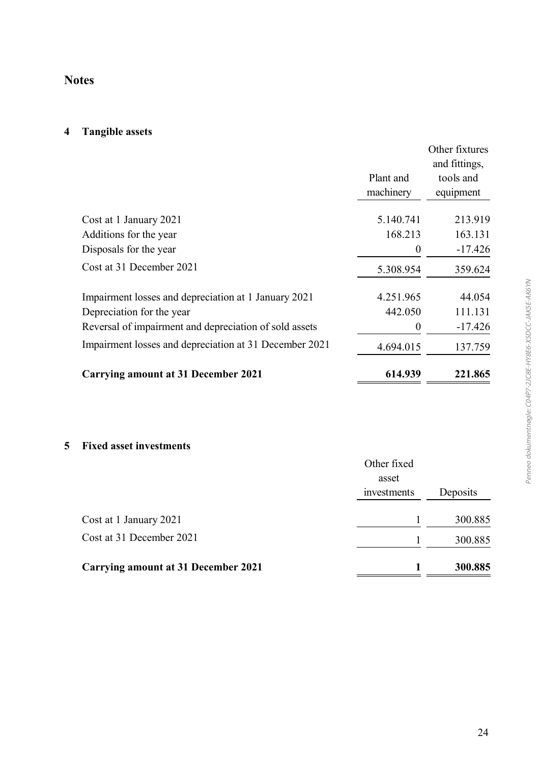## **4 Tangible assets**

|                                                        |                  | Other fixtures |
|--------------------------------------------------------|------------------|----------------|
|                                                        |                  | and fittings,  |
|                                                        | Plant and        | tools and      |
|                                                        | machinery        | equipment      |
|                                                        |                  |                |
| Cost at 1 January 2021                                 | 5.140.741        | 213.919        |
| Additions for the year                                 | 168.213          | 163.131        |
| Disposals for the year                                 | $\theta$         | $-17.426$      |
| Cost at 31 December 2021                               | 5.308.954        | 359.624        |
| Impairment losses and depreciation at 1 January 2021   | 4.251.965        | 44.054         |
| Depreciation for the year                              | 442.050          | 111.131        |
| Reversal of impairment and depreciation of sold assets | $\boldsymbol{0}$ | $-17.426$      |
| Impairment losses and depreciation at 31 December 2021 | 4.694.015        | 137.759        |
| <b>Carrying amount at 31 December 2021</b>             | 614.939          | 221.865        |

### **5 Fixed asset investments**

|                                            | Other fixed<br>asset |          |
|--------------------------------------------|----------------------|----------|
|                                            | investments          | Deposits |
| Cost at 1 January 2021                     |                      | 300.885  |
| Cost at 31 December 2021                   |                      | 300.885  |
| <b>Carrying amount at 31 December 2021</b> |                      | 300.885  |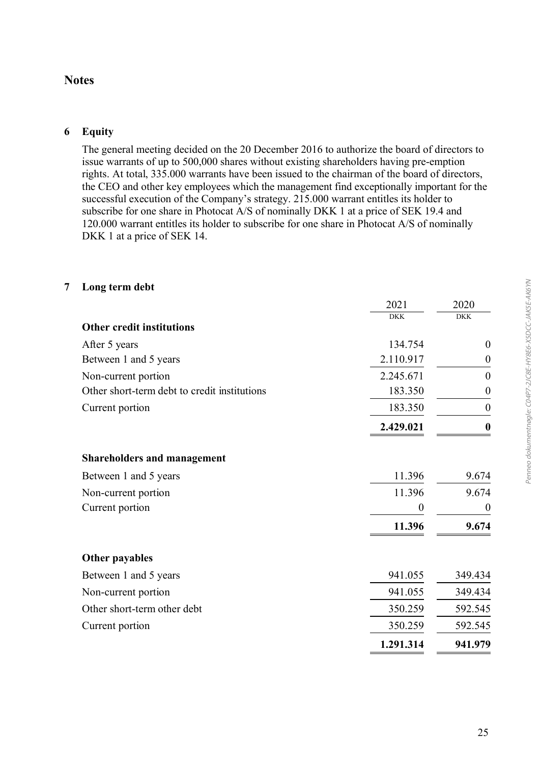#### **6 Equity**

The general meeting decided on the 20 December 2016 to authorize the board of directors to issue warrants of up to 500,000 shares without existing shareholders having pre-emption rights. At total, 335.000 warrants have been issued to the chairman of the board of directors, the CEO and other key employees which the management find exceptionally important for the successful execution of the Company's strategy. 215.000 warrant entitles its holder to subscribe for one share in Photocat A/S of nominally DKK 1 at a price of SEK 19.4 and 120.000 warrant entitles its holder to subscribe for one share in Photocat A/S of nominally DKK 1 at a price of SEK 14.

#### **7 Long term debt**

|                                              | 2021       | 2020             |
|----------------------------------------------|------------|------------------|
|                                              | <b>DKK</b> | <b>DKK</b>       |
| <b>Other credit institutions</b>             |            |                  |
| After 5 years                                | 134.754    | $\boldsymbol{0}$ |
| Between 1 and 5 years                        | 2.110.917  | $\boldsymbol{0}$ |
| Non-current portion                          | 2.245.671  | $\overline{0}$   |
| Other short-term debt to credit institutions | 183.350    | $\boldsymbol{0}$ |
| Current portion                              | 183.350    | $\boldsymbol{0}$ |
|                                              | 2.429.021  | $\boldsymbol{0}$ |
| <b>Shareholders and management</b>           |            |                  |
| Between 1 and 5 years                        | 11.396     | 9.674            |
| Non-current portion                          | 11.396     | 9.674            |
| Current portion                              | $\theta$   | $\boldsymbol{0}$ |
|                                              | 11.396     | 9.674            |
| <b>Other payables</b>                        |            |                  |
| Between 1 and 5 years                        | 941.055    | 349.434          |
| Non-current portion                          | 941.055    | 349.434          |
| Other short-term other debt                  | 350.259    | 592.545          |
| Current portion                              | 350.259    | 592.545          |
|                                              | 1.291.314  | 941.979          |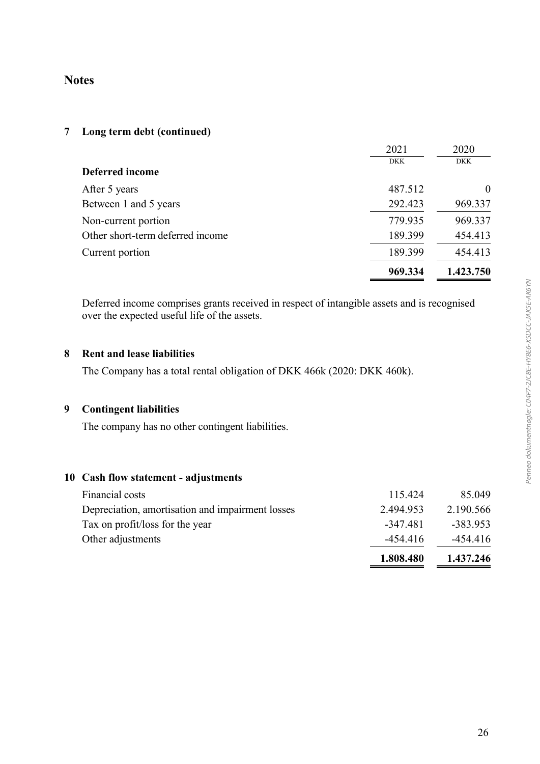#### **7 Long term debt (continued)**

|                                  | 2021       | 2020       |
|----------------------------------|------------|------------|
|                                  | <b>DKK</b> | <b>DKK</b> |
| Deferred income                  |            |            |
| After 5 years                    | 487.512    | $\Omega$   |
| Between 1 and 5 years            | 292.423    | 969.337    |
| Non-current portion              | 779.935    | 969.337    |
| Other short-term deferred income | 189.399    | 454.413    |
| Current portion                  | 189.399    | 454.413    |
|                                  | 969.334    | 1.423.750  |

Deferred income comprises grants received in respect of intangible assets and is recognised over the expected useful life of the assets.

#### **8 Rent and lease liabilities**

The Company has a total rental obligation of DKK 466k (2020: DKK 460k).

### **9 Contingent liabilities**

The company has no other contingent liabilities.

#### **10 Cash flow statement - adjustments**

|                                                  | 1.808.480  | 1.437.246  |
|--------------------------------------------------|------------|------------|
| Other adjustments                                | $-454.416$ | $-454.416$ |
| Tax on profit/loss for the year                  | $-347.481$ | $-383.953$ |
| Depreciation, amortisation and impairment losses | 2.494.953  | 2.190.566  |
| Financial costs                                  | 115.424    | 85.049     |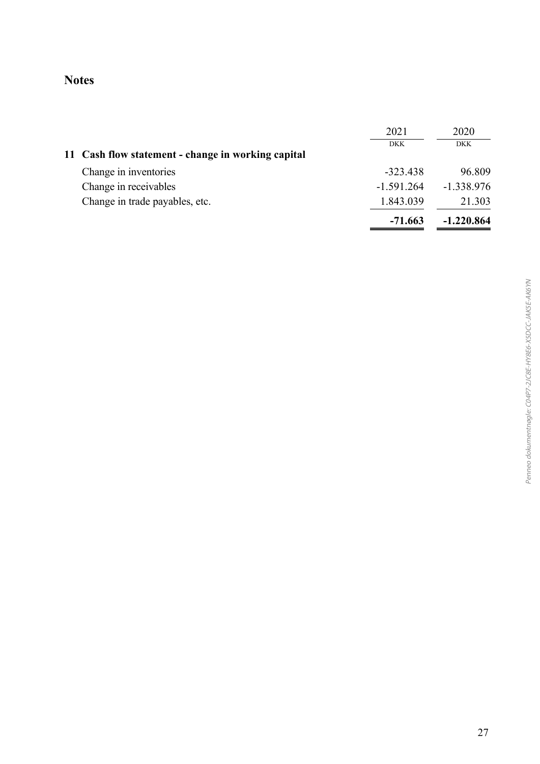|                                                    | 2021         | 2020         |
|----------------------------------------------------|--------------|--------------|
| 11 Cash flow statement - change in working capital | <b>DKK</b>   | <b>DKK</b>   |
| Change in inventories                              | $-323.438$   | 96.809       |
| Change in receivables                              | $-1.591.264$ | $-1.338.976$ |
| Change in trade payables, etc.                     | 1.843.039    | 21.303       |
|                                                    | -71.663      | $-1.220.864$ |